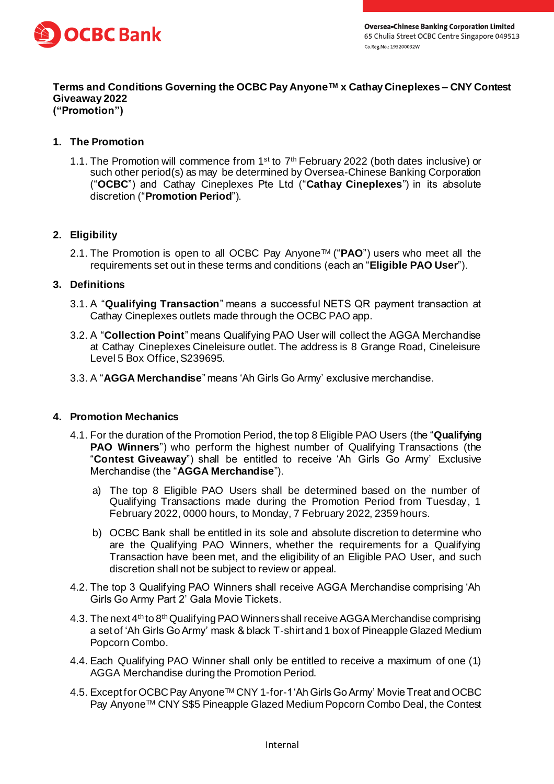

#### **Terms and Conditions Governing the OCBC Pay AnyoneTM x Cathay Cineplexes – CNY Contest Giveaway 2022 ("Promotion")**

## **1. The Promotion**

1.1. The Promotion will commence from 1<sup>st</sup> to 7<sup>th</sup> February 2022 (both dates inclusive) or such other period(s) as may be determined by Oversea-Chinese Banking Corporation ("**OCBC**") and Cathay Cineplexes Pte Ltd ("**Cathay Cineplexes**") in its absolute discretion ("**Promotion Period**").

## **2. Eligibility**

2.1. The Promotion is open to all OCBC Pay AnyoneTM ("**PAO**") users who meet all the requirements set out in these terms and conditions (each an "**Eligible PAO User**").

### **3. Definitions**

- 3.1. A "**Qualifying Transaction**" means a successful NETS QR payment transaction at Cathay Cineplexes outlets made through the OCBC PAO app.
- 3.2. A "**Collection Point**" means Qualifying PAO User will collect the AGGA Merchandise at Cathay Cineplexes Cineleisure outlet. The address is 8 Grange Road, Cineleisure Level 5 Box Office, S239695.
- 3.3. A "**AGGA Merchandise**" means 'Ah Girls Go Army' exclusive merchandise.

### **4. Promotion Mechanics**

- 4.1. For the duration of the Promotion Period, the top 8 Eligible PAO Users (the "**Qualifying PAO Winners**") who perform the highest number of Qualifying Transactions (the "**Contest Giveaway**") shall be entitled to receive 'Ah Girls Go Army' Exclusive Merchandise (the "**AGGA Merchandise**").
	- a) The top 8 Eligible PAO Users shall be determined based on the number of Qualifying Transactions made during the Promotion Period from Tuesday, 1 February 2022, 0000 hours, to Monday, 7 February 2022, 2359 hours.
	- b) OCBC Bank shall be entitled in its sole and absolute discretion to determine who are the Qualifying PAO Winners, whether the requirements for a Qualifying Transaction have been met, and the eligibility of an Eligible PAO User, and such discretion shall not be subject to review or appeal.
- 4.2. The top 3 Qualifying PAO Winners shall receive AGGA Merchandise comprising 'Ah Girls Go Army Part 2' Gala Movie Tickets.
- 4.3. The next  $4<sup>th</sup>$  to 8<sup>th</sup> Qualifying PAO Winners shall receive AGGA Merchandise comprising a set of 'Ah Girls Go Army' mask & black T-shirt and 1 box of Pineapple Glazed Medium Popcorn Combo.
- 4.4. Each Qualifying PAO Winner shall only be entitled to receive a maximum of one (1) AGGA Merchandise during the Promotion Period.
- 4.5. Except for OCBC Pay Anyone™ CNY 1-for-1 'Ah Girls Go Army' Movie Treat and OCBC Pay Anyone™ CNY S\$5 Pineapple Glazed Medium Popcorn Combo Deal, the Contest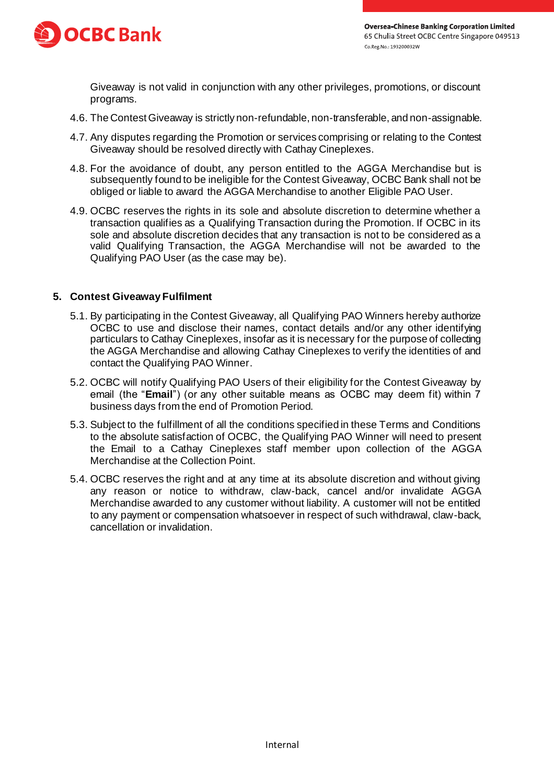

Giveaway is not valid in conjunction with any other privileges, promotions, or discount programs.

- 4.6. The Contest Giveaway is strictly non-refundable, non-transferable, and non-assignable.
- 4.7. Any disputes regarding the Promotion or services comprising or relating to the Contest Giveaway should be resolved directly with Cathay Cineplexes.
- 4.8. For the avoidance of doubt, any person entitled to the AGGA Merchandise but is subsequently found to be ineligible for the Contest Giveaway, OCBC Bank shall not be obliged or liable to award the AGGA Merchandise to another Eligible PAO User.
- 4.9. OCBC reserves the rights in its sole and absolute discretion to determine whether a transaction qualifies as a Qualifying Transaction during the Promotion. If OCBC in its sole and absolute discretion decides that any transaction is not to be considered as a valid Qualifying Transaction, the AGGA Merchandise will not be awarded to the Qualifying PAO User (as the case may be).

### **5. Contest Giveaway Fulfilment**

- 5.1. By participating in the Contest Giveaway, all Qualifying PAO Winners hereby authorize OCBC to use and disclose their names, contact details and/or any other identifying particulars to Cathay Cineplexes, insofar as it is necessary for the purpose of collecting the AGGA Merchandise and allowing Cathay Cineplexes to verify the identities of and contact the Qualifying PAO Winner.
- 5.2. OCBC will notify Qualifying PAO Users of their eligibility for the Contest Giveaway by email (the "**Email**") (or any other suitable means as OCBC may deem fit) within 7 business days from the end of Promotion Period.
- 5.3. Subject to the fulfillment of all the conditions specified in these Terms and Conditions to the absolute satisfaction of OCBC, the Qualifying PAO Winner will need to present the Email to a Cathay Cineplexes staff member upon collection of the AGGA Merchandise at the Collection Point.
- 5.4. OCBC reserves the right and at any time at its absolute discretion and without giving any reason or notice to withdraw, claw-back, cancel and/or invalidate AGGA Merchandise awarded to any customer without liability. A customer will not be entitled to any payment or compensation whatsoever in respect of such withdrawal, claw-back, cancellation or invalidation.